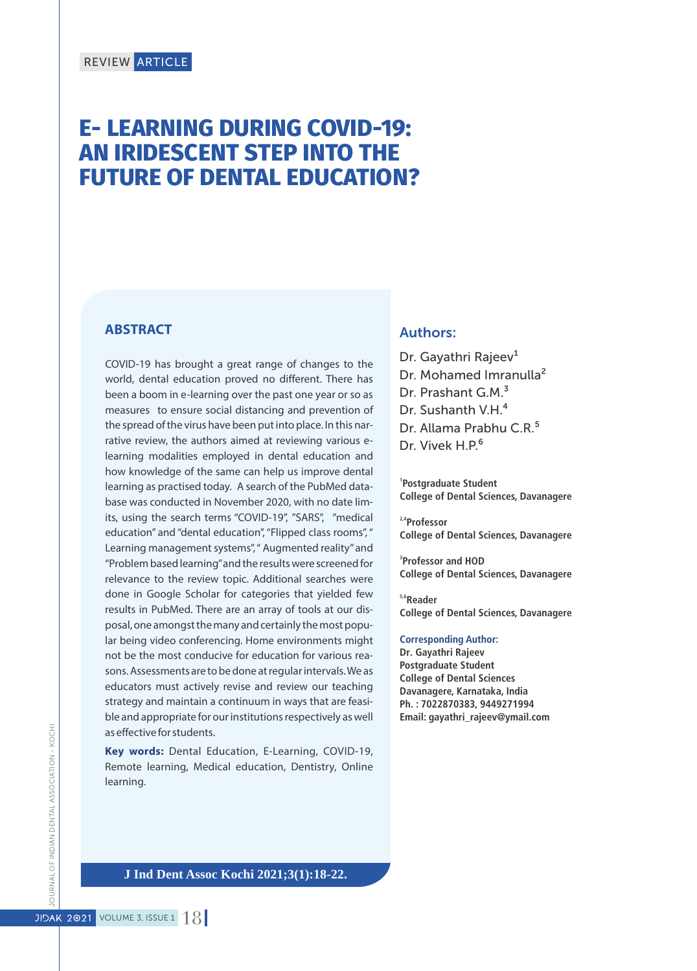# **E- LEARNING DURING COVID-19: AN IRIDESCENT STEP INTO THE FUTURE OF DENTAL EDUCATION?**

#### **ABSTRACT**

COVID-19 has brought a great range of changes to the world, dental education proved no different. There has been a boom in e-learning over the past one year or so as measures to ensure social distancing and prevention of the spread of the virus have been put into place. In this narrative review, the authors aimed at reviewing various elearning modalities employed in dental education and how knowledge of the same can help us improve dental learning as practised today. A search of the PubMed database was conducted in November 2020, with no date limits, using the search terms "COVID-19", "SARS", "medical education" and "dental education", "Flipped class rooms", " Learning management systems", " Augmented reality" and "Problem based learning"and the results were screened for relevance to the review topic. Additional searches were done in Google Scholar for categories that yielded few results in PubMed. There are an array of tools at our disposal, one amongst the many and certainly the most popular being video conferencing. Home environments might not be the most conducive for education for various reasons. Assessments are to be done at regular intervals. We as educators must actively revise and review our teaching strategy and maintain a continuum in ways that are feasible and appropriate for our institutions respectively as well as effective for students.

**Key words:** Dental Education, E-Learning, COVID-19, Remote learning, Medical education, Dentistry, Online learning.

#### Authors:

Dr. Gayathri Rajeev<sup>1</sup> Dr. Mohamed Imranulla<sup>2</sup> Dr. Prashant G.M.<sup>3</sup> Dr. Sushanth V.H.<sup>4</sup> Dr. Allama Prabhu C.R.<sup>5</sup> Dr. Vivek H.P.<sup>6</sup>

**1 Postgraduate Student College of Dental Sciences, Davanagere**

**2,4Professor College of Dental Sciences, Davanagere**

**3 Professor and HOD College of Dental Sciences, Davanagere**

**5,6Reader College of Dental Sciences, Davanagere**

## **Corresponding Author:**

**Dr. Gayathri Rajeev Postgraduate Student College of Dental Sciences Davanagere, Karnataka, India Ph. : 7022870383, 9449271994 Email: gayathri\_rajeev@ymail.com**

**J Ind Dent Assoc Kochi 2021;3(1):18-22.**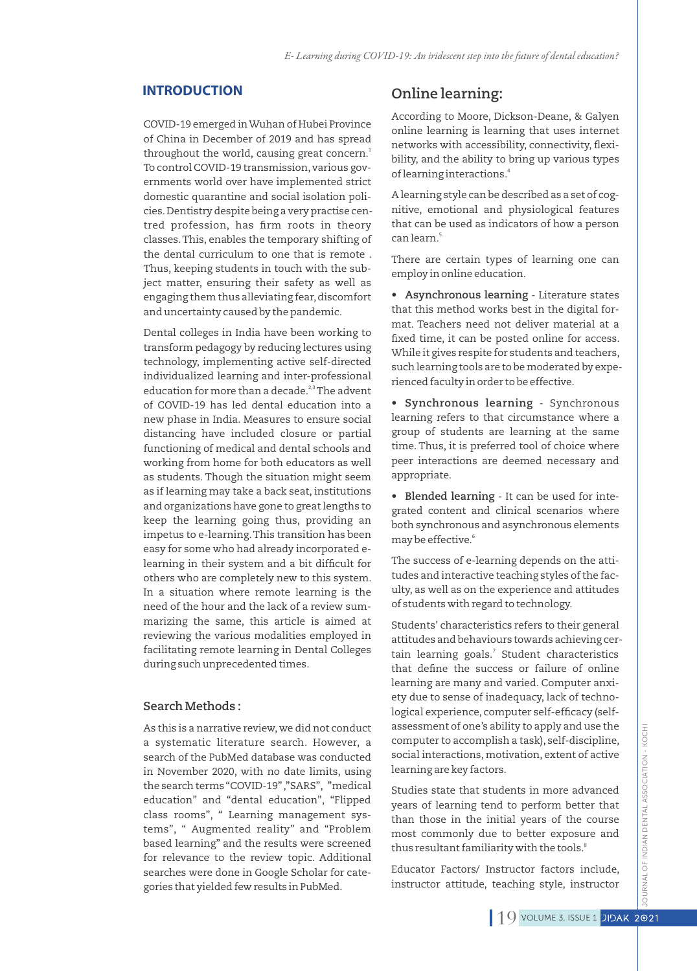#### **INTRODUCTION**

COVID-19 emerged in Wuhan of Hubei Province of China in December of 2019 and has spread throughout the world, causing great concern.<del>'</del> To control COVID-19 transmission, various governments world over have implemented strict domestic quarantine and social isolation policies.Dentistry despite being a very practise centred profession, has firm roots in theory classes.This, enables the temporary shifting of the dental curriculum to one that is remote . Thus, keeping students in touch with the subject matter, ensuring their safety as well as engaging them thus alleviating fear,discomfort and uncertainty caused by the pandemic.

Dental colleges in India have been working to transform pedagogy by reducing lectures using technology, implementing active self-directed individualized learning and inter-professional education for more than a decade. $23$  The advent of COVID-19 has led dental education into a new phase in India. Measures to ensure social distancing have included closure or partial functioning of medical and dental schools and working from home for both educators as well as students. Though the situation might seem as if learning may take a back seat, institutions and organizations have gone to great lengths to keep the learning going thus, providing an impetus to e-learning.This transition has been easy for some who had already incorporated elearning in their system and a bit difficult for others who are completely new to this system. In a situation where remote learning is the need of the hour and the lack of a review summarizing the same, this article is aimed at reviewing the various modalities employed in facilitating remote learning in Dental Colleges during such unprecedented times.

#### **Search Methods :**

As this is a narrative review, we did not conduct a systematic literature search. However, a search of the PubMed database was conducted in November 2020, with no date limits, using the search terms "COVID-19" ,"SARS", "medical education" and "dental education", "Flipped class rooms", " Learning management systems", " Augmented reality" and "Problem based learning" and the results were screened for relevance to the review topic. Additional searches were done in Google Scholar for categories that yielded few results in PubMed.

## **Online learning:**

According to Moore, Dickson-Deane, & Galyen online learning is learning that uses internet networks with accessibility, connectivity, flexibility, and the ability to bring up various types of learning interactions.<sup>4</sup>

A learning style can be described as a set of cognitive, emotional and physiological features that can be used as indicators of how a person <sup>5</sup>can learn.

There are certain types of learning one can employ in online education.

**• Asynchronous learning** - Literature states that this method works best in the digital format. Teachers need not deliver material at a xed time, it can be posted online for access. While it gives respite for students and teachers, such learning tools are to be moderated by experienced faculty in order to be effective.

**• Synchronous learning** - Synchronous learning refers to that circumstance where a group of students are learning at the same time. Thus, it is preferred tool of choice where peer interactions are deemed necessary and appropriate.

**• Blended learning** - It can be used for integrated content and clinical scenarios where both synchronous and asynchronous elements may be effective.<sup>6</sup>

The success of e-learning depends on the attitudes and interactive teaching styles of the faculty, as well as on the experience and attitudes of students with regard to technology.

Students' characteristics refers to their general attitudes and behaviours towards achieving certain learning goals.<sup>7</sup> Student characteristics that define the success or failure of online learning are many and varied. Computer anxiety due to sense of inadequacy, lack of technological experience, computer self-efficacy (selfassessment of one's ability to apply and use the computer to accomplish a task), self-discipline, social interactions, motivation, extent of active learning are key factors.

Studies state that students in more advanced years of learning tend to perform better that than those in the initial years of the course most commonly due to better exposure and thus resultant familiarity with the tools.<sup>8</sup>

Educator Factors/ Instructor factors include, instructor attitude, teaching style, instructor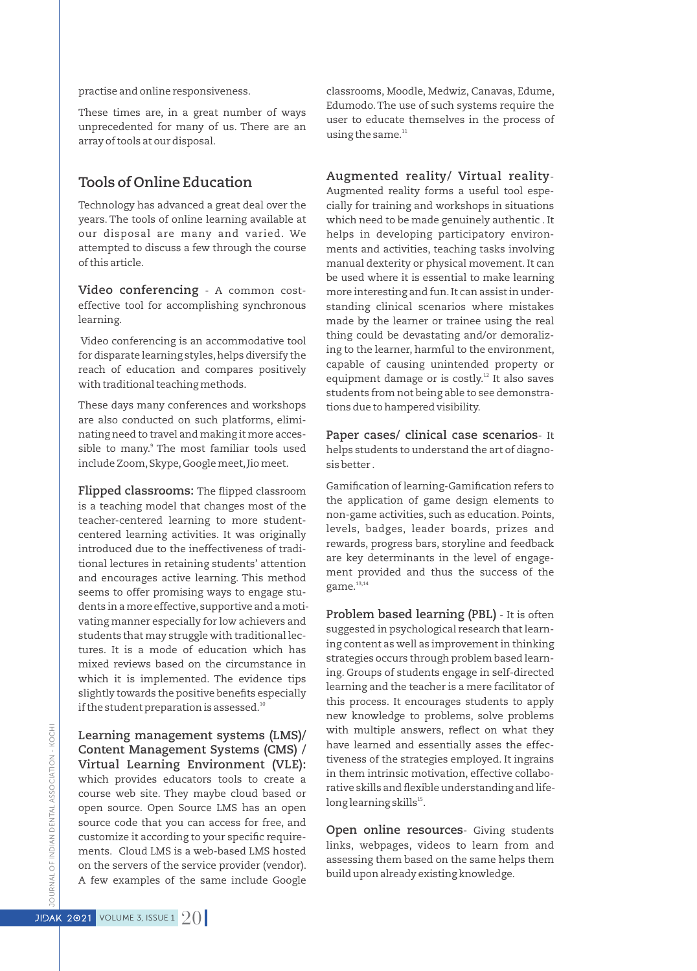practise and online responsiveness.

These times are, in a great number of ways unprecedented for many of us. There are an array of tools at our disposal.

## **Tools of Online Education**

Technology has advanced a great deal over the years. The tools of online learning available at our disposal are many and varied. We attempted to discuss a few through the course of this article.

**Video conferencing** - A common costeffective tool for accomplishing synchronous learning.

Video conferencing is an accommodative tool for disparate learning styles, helps diversify the reach of education and compares positively with traditional teaching methods.

These days many conferences and workshops are also conducted on such platforms, eliminating need to travel and making it more accessible to many.<sup>9</sup> The most familiar tools used include Zoom, Skype, Google meet, Jio meet.

**Flipped classrooms:** The flipped classroom is a teaching model that changes most of the teacher-centered learning to more studentcentered learning activities. It was originally introduced due to the ineffectiveness of traditional lectures in retaining students' attention and encourages active learning. This method seems to offer promising ways to engage students in a more effective, supportive and a motivating manner especially for low achievers and students that may struggle with traditional lectures. It is a mode of education which has mixed reviews based on the circumstance in which it is implemented. The evidence tips slightly towards the positive benefits especially if the student preparation is assessed.<sup>10</sup>

**Learning management systems (LMS)/ Content Management Systems (CMS) / Virtual Learning Environment (VLE):** which provides educators tools to create a course web site. They maybe cloud based or open source. Open Source LMS has an open source code that you can access for free, and customize it according to your specific requirements. Cloud LMS is a web-based LMS hosted on the servers of the service provider (vendor). A few examples of the same include Google

classrooms, Moodle, Medwiz, Canavas, Edume, Edumodo.The use of such systems require the user to educate themselves in the process of using the same.<sup>11</sup>

**Augmented reality/ Virtual reality**-Augmented reality forms a useful tool especially for training and workshops in situations which need to be made genuinely authentic . It helps in developing participatory environments and activities, teaching tasks involving manual dexterity or physical movement. It can be used where it is essential to make learning more interesting and fun.It can assist in understanding clinical scenarios where mistakes made by the learner or trainee using the real thing could be devastating and/or demoralizing to the learner, harmful to the environment, capable of causing unintended property or equipment damage or is costly.<sup>12</sup> It also saves students from not being able to see demonstrations due to hampered visibility.

**Paper cases/ clinical case scenarios**- It helps students to understand the art of diagnosis better .

Gamification of learning-Gamification refers to the application of game design elements to non-game activities, such as education. Points, levels, badges, leader boards, prizes and rewards, progress bars, storyline and feedback are key determinants in the level of engagement provided and thus the success of the game.<sup>13,14</sup>

**Problem based learning (PBL)** - It is often suggested in psychological research that learning content as well as improvement in thinking strategies occurs through problem based learning. Groups of students engage in self-directed learning and the teacher is a mere facilitator of this process. It encourages students to apply new knowledge to problems, solve problems with multiple answers, reflect on what they have learned and essentially asses the effectiveness of the strategies employed. It ingrains in them intrinsic motivation, effective collaborative skills and flexible understanding and lifelong learning skills<sup>15</sup>.

**Open online resources**- Giving students links, webpages, videos to learn from and assessing them based on the same helps them build upon already existing knowledge.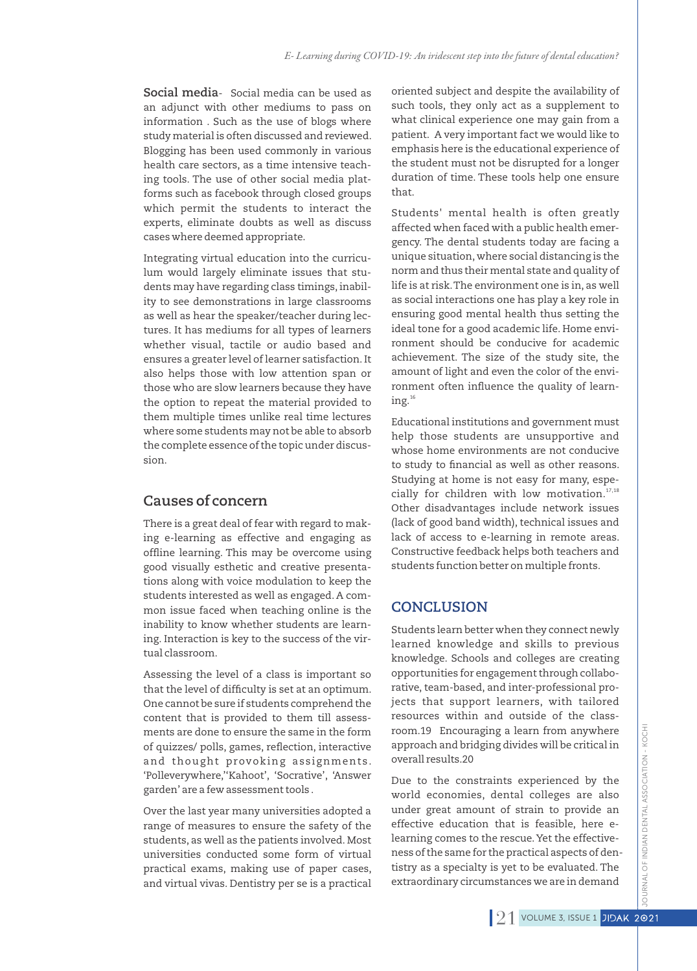**Social media**- Social media can be used as an adjunct with other mediums to pass on information . Such as the use of blogs where study material is often discussed and reviewed. Blogging has been used commonly in various health care sectors, as a time intensive teaching tools. The use of other social media platforms such as facebook through closed groups which permit the students to interact the experts, eliminate doubts as well as discuss cases where deemed appropriate.

Integrating virtual education into the curriculum would largely eliminate issues that students may have regarding class timings, inability to see demonstrations in large classrooms as well as hear the speaker/teacher during lectures. It has mediums for all types of learners whether visual, tactile or audio based and ensures a greater level of learner satisfaction.It also helps those with low attention span or those who are slow learners because they have the option to repeat the material provided to them multiple times unlike real time lectures where some students may not be able to absorb the complete essence of the topic under discussion.

## **Causes of concern**

There is a great deal of fear with regard to making e-learning as effective and engaging as offline learning. This may be overcome using good visually esthetic and creative presentations along with voice modulation to keep the students interested as well as engaged. A common issue faced when teaching online is the inability to know whether students are learning. Interaction is key to the success of the virtual classroom.

Assessing the level of a class is important so that the level of difficulty is set at an optimum. One cannot be sure if students comprehend the content that is provided to them till assessments are done to ensure the same in the form of quizzes/ polls, games, reflection, interactive and thought provoking assignments. 'Polleverywhere,''Kahoot', 'Socrative', 'Answer garden' are a few assessment tools .

Over the last year many universities adopted a range of measures to ensure the safety of the students, as well as the patients involved. Most universities conducted some form of virtual practical exams, making use of paper cases, and virtual vivas. Dentistry per se is a practical

oriented subject and despite the availability of such tools, they only act as a supplement to what clinical experience one may gain from a patient. A very important fact we would like to emphasis here is the educational experience of the student must not be disrupted for a longer duration of time. These tools help one ensure that.

Students' mental health is often greatly affected when faced with a public health emergency. The dental students today are facing a unique situation, where social distancing is the norm and thus their mental state and quality of life is at risk.The environment one is in, as well as social interactions one has play a key role in ensuring good mental health thus setting the ideal tone for a good academic life. Home environment should be conducive for academic achievement. The size of the study site, the amount of light and even the color of the environment often influence the quality of learning.<sup>16</sup>

Educational institutions and government must help those students are unsupportive and whose home environments are not conducive to study to financial as well as other reasons. Studying at home is not easy for many, especially for children with low motivation. $17,18$ Other disadvantages include network issues (lack of good band width), technical issues and lack of access to e-learning in remote areas. Constructive feedback helps both teachers and students function better on multiple fronts.

## **CONCLUSION**

Students learn better when they connect newly learned knowledge and skills to previous knowledge. Schools and colleges are creating opportunities for engagement through collaborative, team-based, and inter-professional projects that support learners, with tailored resources within and outside of the classroom.19 Encouraging a learn from anywhere approach and bridging divides will be critical in overall results.20

Due to the constraints experienced by the world economies, dental colleges are also under great amount of strain to provide an effective education that is feasible, here elearning comes to the rescue.Yet the effectiveness of the same for the practical aspects of dentistry as a specialty is yet to be evaluated. The extraordinary circumstances we are in demand